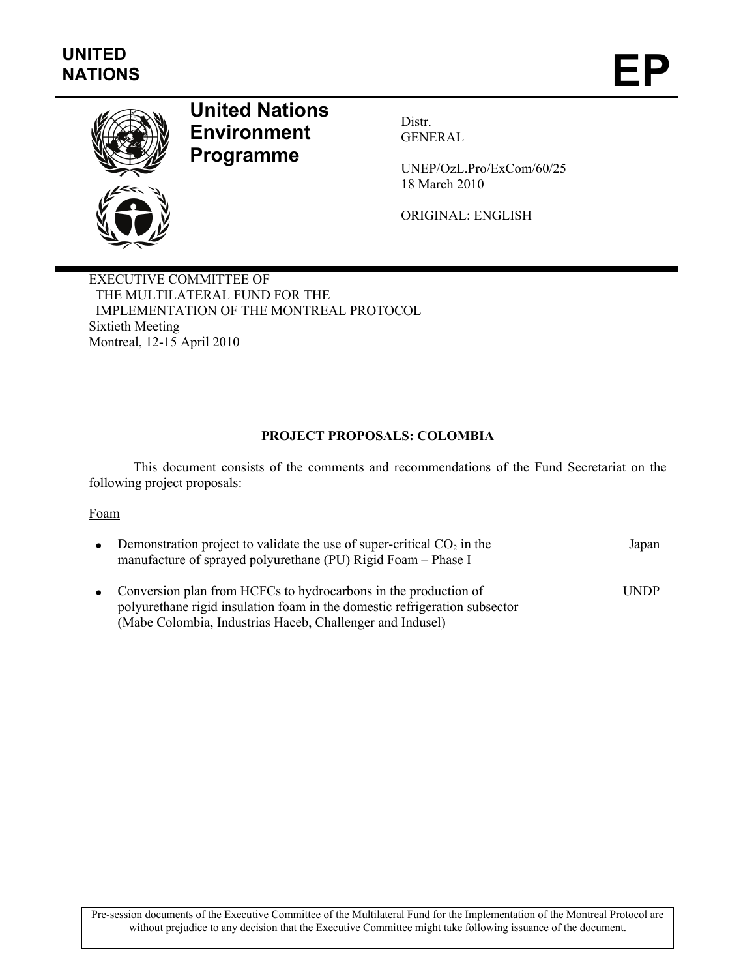

# **United Nations Environment Programme**

Distr. GENERAL

UNEP/OzL.Pro/ExCom/60/25 18 March 2010

ORIGINAL: ENGLISH

EXECUTIVE COMMITTEE OF THE MULTILATERAL FUND FOR THE IMPLEMENTATION OF THE MONTREAL PROTOCOL Sixtieth Meeting Montreal, 12-15 April 2010

## **PROJECT PROPOSALS: COLOMBIA**

This document consists of the comments and recommendations of the Fund Secretariat on the following project proposals:

### Foam

| $\bullet$ | Demonstration project to validate the use of super-critical $CO2$ in the<br>manufacture of sprayed polyurethane (PU) Rigid Foam - Phase I                                                                    | Japan       |
|-----------|--------------------------------------------------------------------------------------------------------------------------------------------------------------------------------------------------------------|-------------|
|           | • Conversion plan from HCFCs to hydrocarbons in the production of<br>polyurethane rigid insulation foam in the domestic refrigeration subsector<br>(Mabe Colombia, Industrias Haceb, Challenger and Indusel) | <b>UNDP</b> |

Pre-session documents of the Executive Committee of the Multilateral Fund for the Implementation of the Montreal Protocol are without prejudice to any decision that the Executive Committee might take following issuance of the document.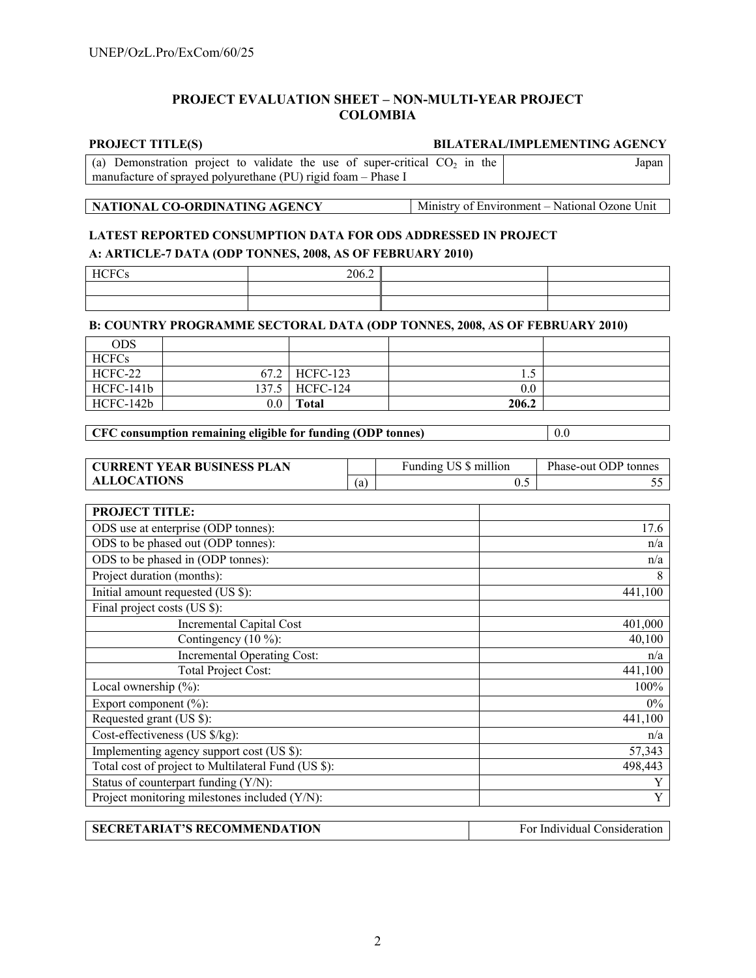### **PROJECT EVALUATION SHEET – NON-MULTI-YEAR PROJECT COLOMBIA**

### **PROJECT TITLE(S) BILATERAL/IMPLEMENTING AGENCY**

| (a) Demonstration project to validate the use of super-critical $CO2$ in the | Japan |
|------------------------------------------------------------------------------|-------|
| manufacture of sprayed polyurethane (PU) rigid foam – Phase I                |       |

# **NATIONAL CO-ORDINATING AGENCY** Ministry of Environment – National Ozone Unit

### **LATEST REPORTED CONSUMPTION DATA FOR ODS ADDRESSED IN PROJECT**

### **A: ARTICLE-7 DATA (ODP TONNES, 2008, AS OF FEBRUARY 2010)**

| <b>HCFC</b><br>ັບ | 206.2 |  |
|-------------------|-------|--|
|                   |       |  |
|                   |       |  |

### **B: COUNTRY PROGRAMME SECTORAL DATA (ODP TONNES, 2008, AS OF FEBRUARY 2010)**

| <b>ODS</b>   |         |                  |       |  |
|--------------|---------|------------------|-------|--|
| <b>HCFCs</b> |         |                  |       |  |
| HCFC-22      |         | 67.2 HCFC-123    | ن د   |  |
| HCFC-141b    |         | 137.5   HCFC-124 | 0.0   |  |
| HCFC-142b    | $0.0\,$ | <b>Total</b>     | 206.2 |  |

**CFC consumption remaining eligible for funding (ODP tonnes)** 0.0

| <b>CURRENT YEAR BUSINESS PLAN</b> |     | Funding US \$ million | Phase-out ODP tonnes |
|-----------------------------------|-----|-----------------------|----------------------|
| <b>ALLOCATIONS</b>                | (a) | ∪.≂                   |                      |

| <b>PROJECT TITLE:</b>                               |         |
|-----------------------------------------------------|---------|
| ODS use at enterprise (ODP tonnes):                 | 17.6    |
| ODS to be phased out (ODP tonnes):                  | n/a     |
| ODS to be phased in (ODP tonnes):                   | n/a     |
| Project duration (months):                          | 8       |
| Initial amount requested (US \$):                   | 441,100 |
| Final project costs (US \$):                        |         |
| <b>Incremental Capital Cost</b>                     | 401,000 |
| Contingency $(10\%)$ :                              | 40,100  |
| <b>Incremental Operating Cost:</b>                  | n/a     |
| <b>Total Project Cost:</b>                          | 441,100 |
| Local ownership $(\% )$ :                           | 100%    |
| Export component $(\% )$ :                          | 0%      |
| Requested grant (US \$):                            | 441,100 |
| Cost-effectiveness (US \$/kg):                      | n/a     |
| Implementing agency support cost (US \$):           | 57,343  |
| Total cost of project to Multilateral Fund (US \$): | 498,443 |
| Status of counterpart funding (Y/N):                | Y       |
| Project monitoring milestones included (Y/N):       | Y       |

| <b>SECRETARIAT'S RECOMMENDATION</b> | For Individual Consideration |
|-------------------------------------|------------------------------|
|-------------------------------------|------------------------------|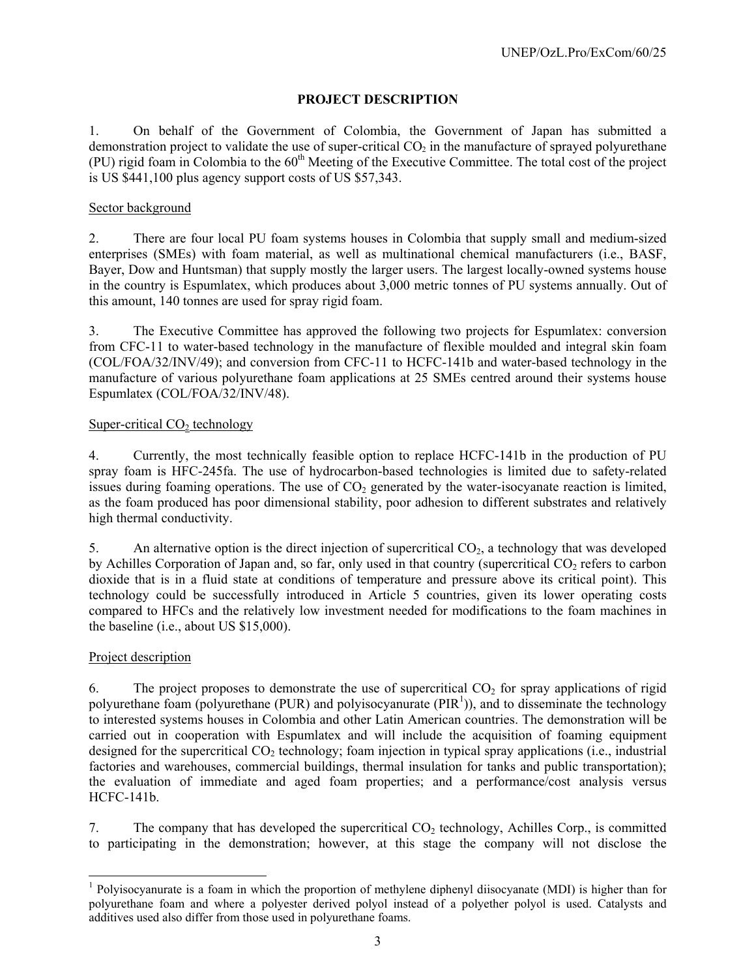# **PROJECT DESCRIPTION**

1. On behalf of the Government of Colombia, the Government of Japan has submitted a demonstration project to validate the use of super-critical  $CO<sub>2</sub>$  in the manufacture of sprayed polyurethane (PU) rigid foam in Colombia to the  $60<sup>th</sup>$  Meeting of the Executive Committee. The total cost of the project is US \$441,100 plus agency support costs of US \$57,343.

### Sector background

2. There are four local PU foam systems houses in Colombia that supply small and medium-sized enterprises (SMEs) with foam material, as well as multinational chemical manufacturers (i.e., BASF, Bayer, Dow and Huntsman) that supply mostly the larger users. The largest locally-owned systems house in the country is Espumlatex, which produces about 3,000 metric tonnes of PU systems annually. Out of this amount, 140 tonnes are used for spray rigid foam.

3. The Executive Committee has approved the following two projects for Espumlatex: conversion from CFC-11 to water-based technology in the manufacture of flexible moulded and integral skin foam (COL/FOA/32/INV/49); and conversion from CFC-11 to HCFC-141b and water-based technology in the manufacture of various polyurethane foam applications at 25 SMEs centred around their systems house Espumlatex (COL/FOA/32/INV/48).

# Super-critical  $CO<sub>2</sub>$  technology

4. Currently, the most technically feasible option to replace HCFC-141b in the production of PU spray foam is HFC-245fa. The use of hydrocarbon-based technologies is limited due to safety-related issues during foaming operations. The use of  $CO<sub>2</sub>$  generated by the water-isocyanate reaction is limited, as the foam produced has poor dimensional stability, poor adhesion to different substrates and relatively high thermal conductivity.

5. An alternative option is the direct injection of supercritical CO<sub>2</sub>, a technology that was developed by Achilles Corporation of Japan and, so far, only used in that country (supercritical  $CO<sub>2</sub>$  refers to carbon dioxide that is in a fluid state at conditions of temperature and pressure above its critical point). This technology could be successfully introduced in Article 5 countries, given its lower operating costs compared to HFCs and the relatively low investment needed for modifications to the foam machines in the baseline (i.e., about US \$15,000).

# Project description

1

6. The project proposes to demonstrate the use of supercritical  $CO<sub>2</sub>$  for spray applications of rigid polyurethane foam (polyurethane (PUR) and polyisocyanurate ( $PIR<sup>1</sup>$ )), and to disseminate the technology to interested systems houses in Colombia and other Latin American countries. The demonstration will be carried out in cooperation with Espumlatex and will include the acquisition of foaming equipment designed for the supercritical  $CO<sub>2</sub>$  technology; foam injection in typical spray applications (i.e., industrial factories and warehouses, commercial buildings, thermal insulation for tanks and public transportation); the evaluation of immediate and aged foam properties; and a performance/cost analysis versus HCFC-141b.

7. The company that has developed the supercritical  $CO<sub>2</sub>$  technology, Achilles Corp., is committed to participating in the demonstration; however, at this stage the company will not disclose the

<sup>&</sup>lt;sup>1</sup> Polyisocyanurate is a foam in which the proportion of methylene diphenyl diisocyanate (MDI) is higher than for polyurethane foam and where a polyester derived polyol instead of a polyether polyol is used. Catalysts and additives used also differ from those used in polyurethane foams.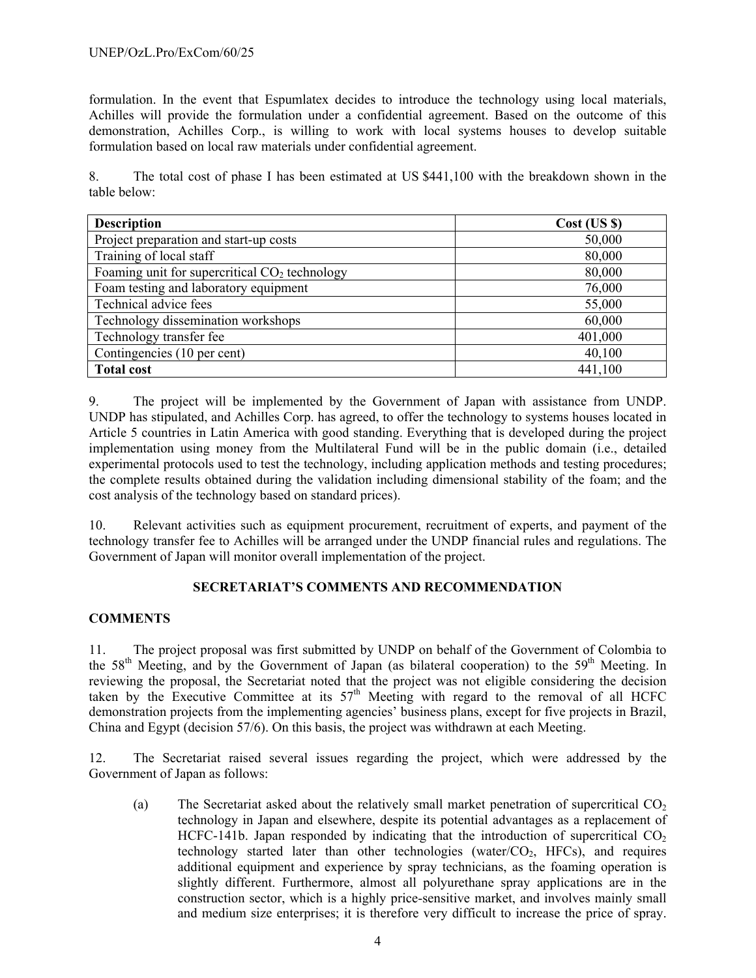formulation. In the event that Espumlatex decides to introduce the technology using local materials, Achilles will provide the formulation under a confidential agreement. Based on the outcome of this demonstration, Achilles Corp., is willing to work with local systems houses to develop suitable formulation based on local raw materials under confidential agreement.

8. The total cost of phase I has been estimated at US \$441,100 with the breakdown shown in the table below:

| <b>Description</b>                              | Cost (US S) |
|-------------------------------------------------|-------------|
| Project preparation and start-up costs          | 50,000      |
| Training of local staff                         | 80,000      |
| Foaming unit for supercritical $CO2$ technology | 80,000      |
| Foam testing and laboratory equipment           | 76,000      |
| Technical advice fees                           | 55,000      |
| Technology dissemination workshops              | 60,000      |
| Technology transfer fee                         | 401,000     |
| Contingencies (10 per cent)                     | 40,100      |
| <b>Total cost</b>                               | 441,100     |

9. The project will be implemented by the Government of Japan with assistance from UNDP. UNDP has stipulated, and Achilles Corp. has agreed, to offer the technology to systems houses located in Article 5 countries in Latin America with good standing. Everything that is developed during the project implementation using money from the Multilateral Fund will be in the public domain (i.e., detailed experimental protocols used to test the technology, including application methods and testing procedures; the complete results obtained during the validation including dimensional stability of the foam; and the cost analysis of the technology based on standard prices).

10. Relevant activities such as equipment procurement, recruitment of experts, and payment of the technology transfer fee to Achilles will be arranged under the UNDP financial rules and regulations. The Government of Japan will monitor overall implementation of the project.

# **SECRETARIAT'S COMMENTS AND RECOMMENDATION**

# **COMMENTS**

11. The project proposal was first submitted by UNDP on behalf of the Government of Colombia to the 58<sup>th</sup> Meeting, and by the Government of Japan (as bilateral cooperation) to the 59<sup>th</sup> Meeting. In reviewing the proposal, the Secretariat noted that the project was not eligible considering the decision taken by the Executive Committee at its  $57<sup>th</sup>$  Meeting with regard to the removal of all HCFC demonstration projects from the implementing agencies' business plans, except for five projects in Brazil, China and Egypt (decision 57/6). On this basis, the project was withdrawn at each Meeting.

12. The Secretariat raised several issues regarding the project, which were addressed by the Government of Japan as follows:

(a) The Secretariat asked about the relatively small market penetration of supercritical  $CO<sub>2</sub>$ technology in Japan and elsewhere, despite its potential advantages as a replacement of HCFC-141b. Japan responded by indicating that the introduction of supercritical  $CO<sub>2</sub>$ technology started later than other technologies (water/ $CO<sub>2</sub>$ , HFCs), and requires additional equipment and experience by spray technicians, as the foaming operation is slightly different. Furthermore, almost all polyurethane spray applications are in the construction sector, which is a highly price-sensitive market, and involves mainly small and medium size enterprises; it is therefore very difficult to increase the price of spray.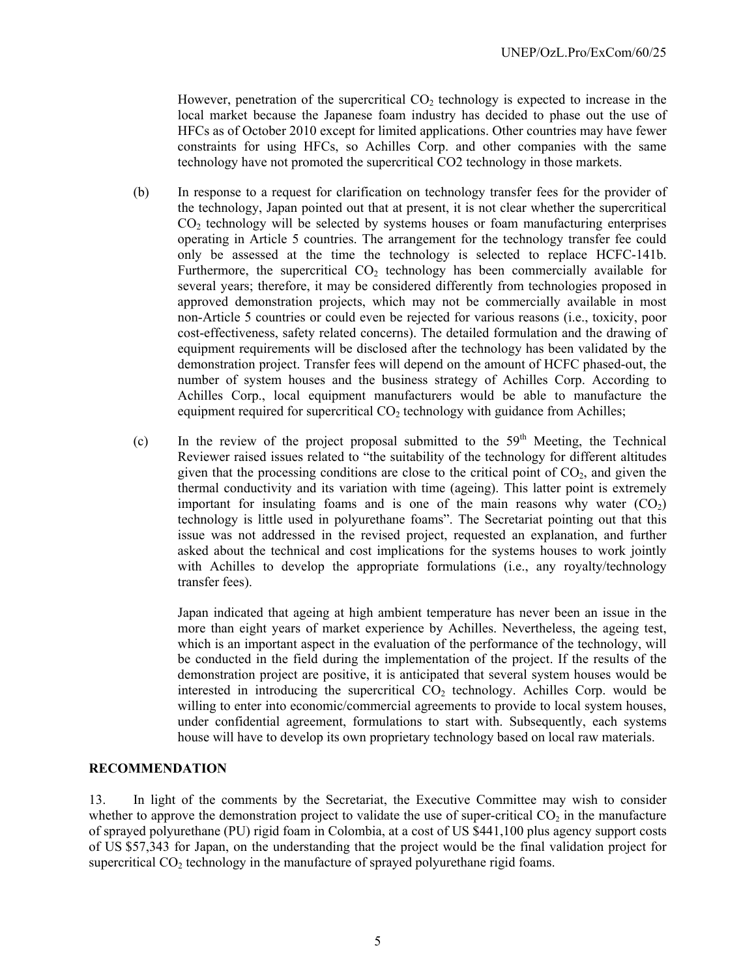However, penetration of the supercritical  $CO<sub>2</sub>$  technology is expected to increase in the local market because the Japanese foam industry has decided to phase out the use of HFCs as of October 2010 except for limited applications. Other countries may have fewer constraints for using HFCs, so Achilles Corp. and other companies with the same technology have not promoted the supercritical CO2 technology in those markets.

- (b) In response to a request for clarification on technology transfer fees for the provider of the technology, Japan pointed out that at present, it is not clear whether the supercritical CO2 technology will be selected by systems houses or foam manufacturing enterprises operating in Article 5 countries. The arrangement for the technology transfer fee could only be assessed at the time the technology is selected to replace HCFC-141b. Furthermore, the supercritical  $CO<sub>2</sub>$  technology has been commercially available for several years; therefore, it may be considered differently from technologies proposed in approved demonstration projects, which may not be commercially available in most non-Article 5 countries or could even be rejected for various reasons (i.e., toxicity, poor cost-effectiveness, safety related concerns). The detailed formulation and the drawing of equipment requirements will be disclosed after the technology has been validated by the demonstration project. Transfer fees will depend on the amount of HCFC phased-out, the number of system houses and the business strategy of Achilles Corp. According to Achilles Corp., local equipment manufacturers would be able to manufacture the equipment required for supercritical  $CO<sub>2</sub>$  technology with guidance from Achilles;
- (c) In the review of the project proposal submitted to the  $59<sup>th</sup>$  Meeting, the Technical Reviewer raised issues related to "the suitability of the technology for different altitudes given that the processing conditions are close to the critical point of  $CO<sub>2</sub>$ , and given the thermal conductivity and its variation with time (ageing). This latter point is extremely important for insulating foams and is one of the main reasons why water  $(CO<sub>2</sub>)$ technology is little used in polyurethane foams". The Secretariat pointing out that this issue was not addressed in the revised project, requested an explanation, and further asked about the technical and cost implications for the systems houses to work jointly with Achilles to develop the appropriate formulations (i.e., any royalty/technology transfer fees).

Japan indicated that ageing at high ambient temperature has never been an issue in the more than eight years of market experience by Achilles. Nevertheless, the ageing test, which is an important aspect in the evaluation of the performance of the technology, will be conducted in the field during the implementation of the project. If the results of the demonstration project are positive, it is anticipated that several system houses would be interested in introducing the supercritical  $CO<sub>2</sub>$  technology. Achilles Corp. would be willing to enter into economic/commercial agreements to provide to local system houses, under confidential agreement, formulations to start with. Subsequently, each systems house will have to develop its own proprietary technology based on local raw materials.

### **RECOMMENDATION**

13. In light of the comments by the Secretariat, the Executive Committee may wish to consider whether to approve the demonstration project to validate the use of super-critical  $CO<sub>2</sub>$  in the manufacture of sprayed polyurethane (PU) rigid foam in Colombia, at a cost of US \$441,100 plus agency support costs of US \$57,343 for Japan, on the understanding that the project would be the final validation project for supercritical  $CO<sub>2</sub>$  technology in the manufacture of sprayed polyurethane rigid foams.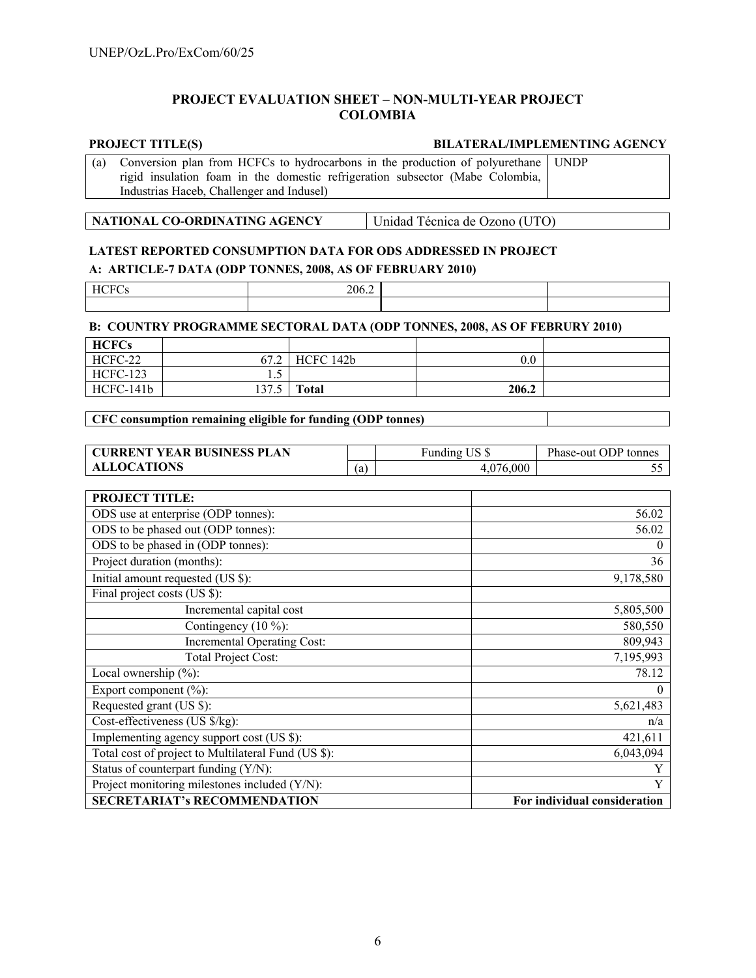### **PROJECT EVALUATION SHEET – NON-MULTI-YEAR PROJECT COLOMBIA**

### **PROJECT TITLE(S) BILATERAL/IMPLEMENTING AGENCY**

| (a) Conversion plan from HCFCs to hydrocarbons in the production of polyurethane UNDP |  |  |  |
|---------------------------------------------------------------------------------------|--|--|--|
| rigid insulation foam in the domestic refrigeration subsector (Mabe Colombia,         |  |  |  |
| Industrias Haceb, Challenger and Indusel)                                             |  |  |  |

| NATIONAL CO-ORDINATING AGENCY<br>Unidad Técnica de Ozono (UTO) |
|----------------------------------------------------------------|
|----------------------------------------------------------------|

# **LATEST REPORTED CONSUMPTION DATA FOR ODS ADDRESSED IN PROJECT A: ARTICLE-7 DATA (ODP TONNES, 2008, AS OF FEBRUARY 2010)**

| Н٠<br>н.<br>--<br>_____<br>- - | 206.4 |  |
|--------------------------------|-------|--|
|                                |       |  |

### **B: COUNTRY PROGRAMME SECTORAL DATA (ODP TONNES, 2008, AS OF FEBRURY 2010)**

| <b>HCFCs</b>    |              |              |         |  |
|-----------------|--------------|--------------|---------|--|
| HCFC-22         | 67.2         | HCFC 142b    | $0.0\,$ |  |
| <b>HCFC-123</b> | $\cdot\cdot$ |              |         |  |
| HCFC-141b       | 137.5        | <b>Total</b> | 206.2   |  |

### **CFC consumption remaining eligible for funding (ODP tonnes)**

| <b>CURRENT YEAR BUSINESS PLAN</b> |    | ∗unding L  | Phase-out ODP tonnes |
|-----------------------------------|----|------------|----------------------|
| LOCATIONS                         | (a | .000<br>76 |                      |

| <b>PROJECT TITLE:</b>                               |                              |
|-----------------------------------------------------|------------------------------|
| ODS use at enterprise (ODP tonnes):                 | 56.02                        |
| ODS to be phased out (ODP tonnes):                  | 56.02                        |
| ODS to be phased in (ODP tonnes):                   | $\theta$                     |
| Project duration (months):                          | 36                           |
| Initial amount requested (US \$):                   | 9,178,580                    |
| Final project costs (US \$):                        |                              |
| Incremental capital cost                            | 5,805,500                    |
| Contingency $(10\%)$ :                              | 580,550                      |
| Incremental Operating Cost:                         | 809,943                      |
| <b>Total Project Cost:</b>                          | 7,195,993                    |
| Local ownership $(\%)$ :                            | 78.12                        |
| Export component $(\% )$ :                          | 0                            |
| Requested grant (US \$):                            | 5,621,483                    |
| Cost-effectiveness (US \$/kg):                      | n/a                          |
| Implementing agency support cost (US \$):           | 421,611                      |
| Total cost of project to Multilateral Fund (US \$): | 6,043,094                    |
| Status of counterpart funding (Y/N):                |                              |
| Project monitoring milestones included (Y/N):       | Y                            |
| <b>SECRETARIAT's RECOMMENDATION</b>                 | For individual consideration |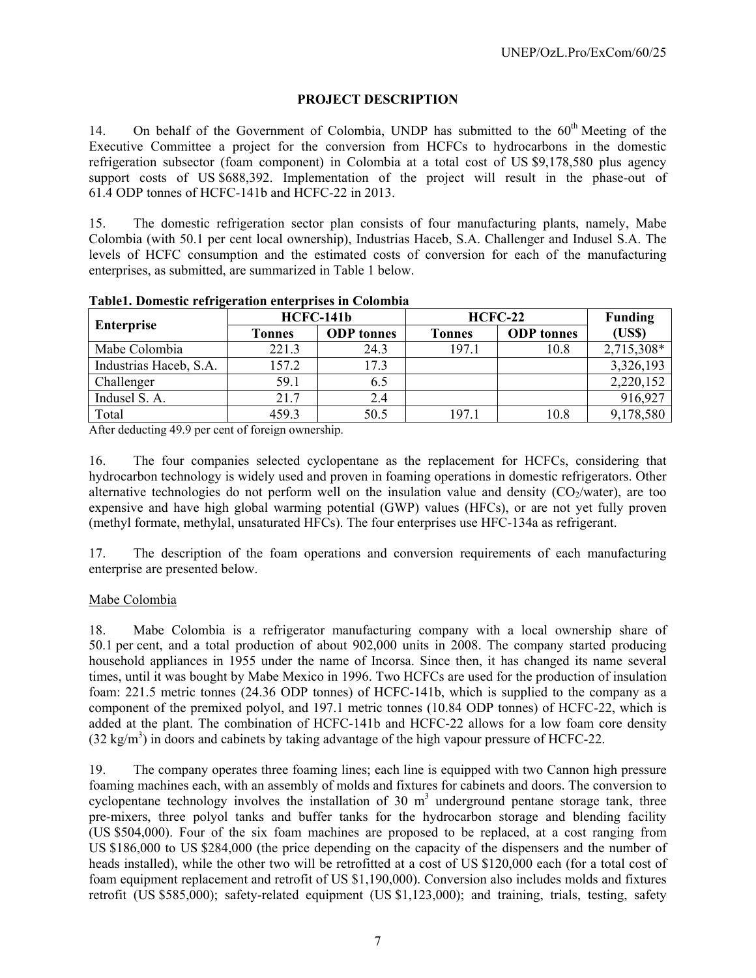# **PROJECT DESCRIPTION**

14. On behalf of the Government of Colombia, UNDP has submitted to the 60<sup>th</sup> Meeting of the Executive Committee a project for the conversion from HCFCs to hydrocarbons in the domestic refrigeration subsector (foam component) in Colombia at a total cost of US \$9,178,580 plus agency support costs of US \$688,392. Implementation of the project will result in the phase-out of 61.4 ODP tonnes of HCFC-141b and HCFC-22 in 2013.

15. The domestic refrigeration sector plan consists of four manufacturing plants, namely, Mabe Colombia (with 50.1 per cent local ownership), Industrias Haceb, S.A. Challenger and Indusel S.A. The levels of HCFC consumption and the estimated costs of conversion for each of the manufacturing enterprises, as submitted, are summarized in Table 1 below.

| Enterprise             |        | <b>HCFC-141b</b>  | <b>HCFC-22</b> | <b>Funding</b>    |            |
|------------------------|--------|-------------------|----------------|-------------------|------------|
|                        | Tonnes | <b>ODP</b> tonnes | <b>Tonnes</b>  | <b>ODP</b> tonnes | (USS)      |
| Mabe Colombia          | 221.3  | 24.3              | 197.1          | 10.8              | 2,715,308* |
| Industrias Haceb, S.A. | 157.2  | 17.3              |                |                   | 3,326,193  |
| Challenger             | 59.1   | 6.5               |                |                   | 2,220,152  |
| Indusel S. A.          | 21.7   | 2.4               |                |                   | 916,927    |
| Total                  | 459.3  | 50.5              | 197.1          | 10.8              | 9,178,580  |

**Table1. Domestic refrigeration enterprises in Colombia** 

After deducting 49.9 per cent of foreign ownership.

16. The four companies selected cyclopentane as the replacement for HCFCs, considering that hydrocarbon technology is widely used and proven in foaming operations in domestic refrigerators. Other alternative technologies do not perform well on the insulation value and density  $(CO_2/water)$ , are too expensive and have high global warming potential (GWP) values (HFCs), or are not yet fully proven (methyl formate, methylal, unsaturated HFCs). The four enterprises use HFC-134a as refrigerant.

17. The description of the foam operations and conversion requirements of each manufacturing enterprise are presented below.

### Mabe Colombia

18. Mabe Colombia is a refrigerator manufacturing company with a local ownership share of 50.1 per cent, and a total production of about 902,000 units in 2008. The company started producing household appliances in 1955 under the name of Incorsa. Since then, it has changed its name several times, until it was bought by Mabe Mexico in 1996. Two HCFCs are used for the production of insulation foam: 221.5 metric tonnes (24.36 ODP tonnes) of HCFC-141b, which is supplied to the company as a component of the premixed polyol, and 197.1 metric tonnes (10.84 ODP tonnes) of HCFC-22, which is added at the plant. The combination of HCFC-141b and HCFC-22 allows for a low foam core density  $(32 \text{ kg/m}^3)$  in doors and cabinets by taking advantage of the high vapour pressure of HCFC-22.

19. The company operates three foaming lines; each line is equipped with two Cannon high pressure foaming machines each, with an assembly of molds and fixtures for cabinets and doors. The conversion to cyclopentane technology involves the installation of 30  $m<sup>3</sup>$  underground pentane storage tank, three pre-mixers, three polyol tanks and buffer tanks for the hydrocarbon storage and blending facility (US \$504,000). Four of the six foam machines are proposed to be replaced, at a cost ranging from US \$186,000 to US \$284,000 (the price depending on the capacity of the dispensers and the number of heads installed), while the other two will be retrofitted at a cost of US \$120,000 each (for a total cost of foam equipment replacement and retrofit of US \$1,190,000). Conversion also includes molds and fixtures retrofit (US \$585,000); safety-related equipment (US \$1,123,000); and training, trials, testing, safety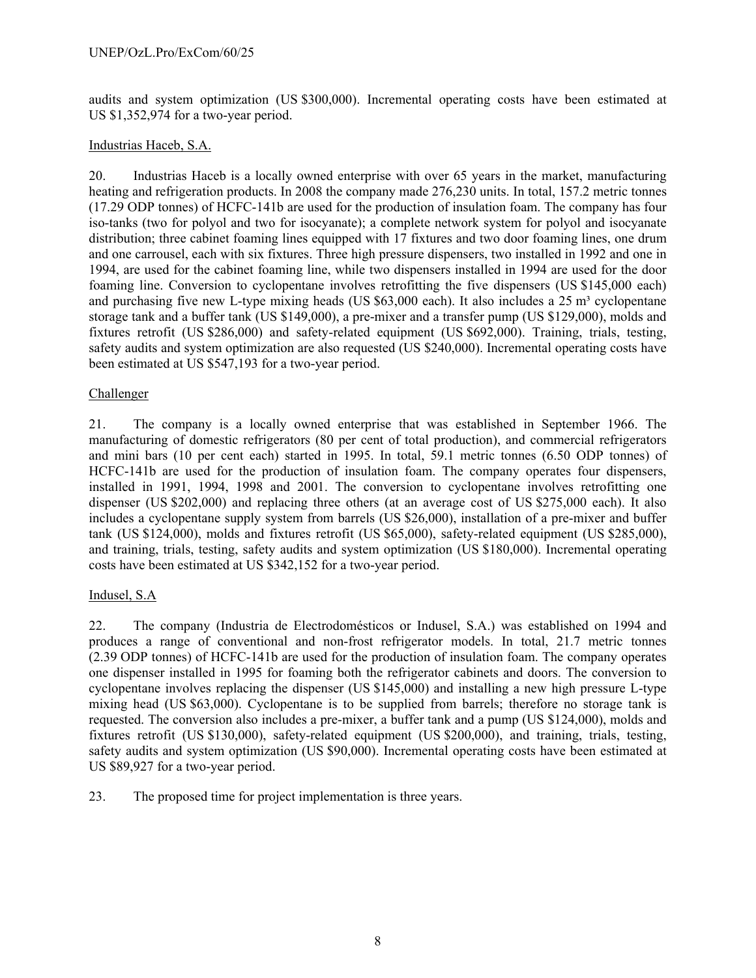audits and system optimization (US \$300,000). Incremental operating costs have been estimated at US \$1,352,974 for a two-year period.

### Industrias Haceb, S.A.

20. Industrias Haceb is a locally owned enterprise with over 65 years in the market, manufacturing heating and refrigeration products. In 2008 the company made 276,230 units. In total, 157.2 metric tonnes (17.29 ODP tonnes) of HCFC-141b are used for the production of insulation foam. The company has four iso-tanks (two for polyol and two for isocyanate); a complete network system for polyol and isocyanate distribution; three cabinet foaming lines equipped with 17 fixtures and two door foaming lines, one drum and one carrousel, each with six fixtures. Three high pressure dispensers, two installed in 1992 and one in 1994, are used for the cabinet foaming line, while two dispensers installed in 1994 are used for the door foaming line. Conversion to cyclopentane involves retrofitting the five dispensers (US \$145,000 each) and purchasing five new L-type mixing heads (US  $$63,000$  each). It also includes a 25 m<sup>3</sup> cyclopentane storage tank and a buffer tank (US \$149,000), a pre-mixer and a transfer pump (US \$129,000), molds and fixtures retrofit (US \$286,000) and safety-related equipment (US \$692,000). Training, trials, testing, safety audits and system optimization are also requested (US \$240,000). Incremental operating costs have been estimated at US \$547,193 for a two-year period.

### Challenger

21. The company is a locally owned enterprise that was established in September 1966. The manufacturing of domestic refrigerators (80 per cent of total production), and commercial refrigerators and mini bars (10 per cent each) started in 1995. In total, 59.1 metric tonnes (6.50 ODP tonnes) of HCFC-141b are used for the production of insulation foam. The company operates four dispensers, installed in 1991, 1994, 1998 and 2001. The conversion to cyclopentane involves retrofitting one dispenser (US \$202,000) and replacing three others (at an average cost of US \$275,000 each). It also includes a cyclopentane supply system from barrels (US \$26,000), installation of a pre-mixer and buffer tank (US \$124,000), molds and fixtures retrofit (US \$65,000), safety-related equipment (US \$285,000), and training, trials, testing, safety audits and system optimization (US \$180,000). Incremental operating costs have been estimated at US \$342,152 for a two-year period.

# Indusel, S.A

22. The company (Industria de Electrodomésticos or Indusel, S.A.) was established on 1994 and produces a range of conventional and non-frost refrigerator models. In total, 21.7 metric tonnes (2.39 ODP tonnes) of HCFC-141b are used for the production of insulation foam. The company operates one dispenser installed in 1995 for foaming both the refrigerator cabinets and doors. The conversion to cyclopentane involves replacing the dispenser (US \$145,000) and installing a new high pressure L-type mixing head (US \$63,000). Cyclopentane is to be supplied from barrels; therefore no storage tank is requested. The conversion also includes a pre-mixer, a buffer tank and a pump (US \$124,000), molds and fixtures retrofit (US \$130,000), safety-related equipment (US \$200,000), and training, trials, testing, safety audits and system optimization (US \$90,000). Incremental operating costs have been estimated at US \$89,927 for a two-year period.

23. The proposed time for project implementation is three years.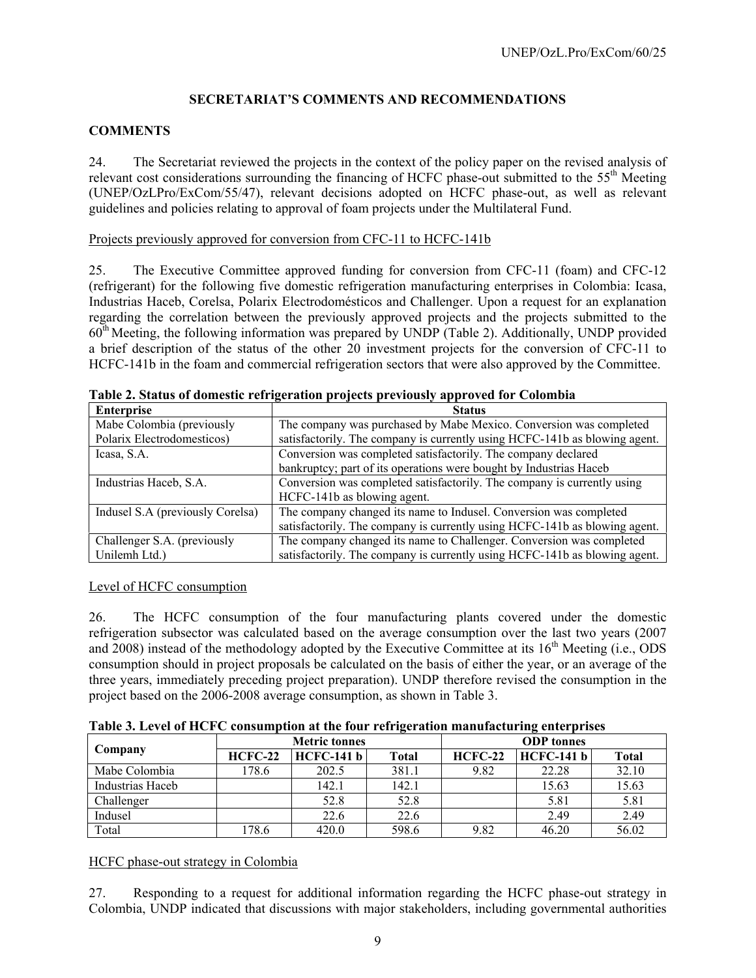# **SECRETARIAT'S COMMENTS AND RECOMMENDATIONS**

### **COMMENTS**

24. The Secretariat reviewed the projects in the context of the policy paper on the revised analysis of relevant cost considerations surrounding the financing of HCFC phase-out submitted to the 55<sup>th</sup> Meeting (UNEP/OzLPro/ExCom/55/47), relevant decisions adopted on HCFC phase-out, as well as relevant guidelines and policies relating to approval of foam projects under the Multilateral Fund.

Projects previously approved for conversion from CFC-11 to HCFC-141b

25. The Executive Committee approved funding for conversion from CFC-11 (foam) and CFC-12 (refrigerant) for the following five domestic refrigeration manufacturing enterprises in Colombia: Icasa, Industrias Haceb, Corelsa, Polarix Electrodomésticos and Challenger. Upon a request for an explanation regarding the correlation between the previously approved projects and the projects submitted to the  $60<sup>th</sup> Meeting, the following information was prepared by UNDP (Table 2). Additionally, UNDP provided$ a brief description of the status of the other 20 investment projects for the conversion of CFC-11 to HCFC-141b in the foam and commercial refrigeration sectors that were also approved by the Committee.

| <b>Enterprise</b>                | <b>Status</b>                                                              |
|----------------------------------|----------------------------------------------------------------------------|
| Mabe Colombia (previously        | The company was purchased by Mabe Mexico. Conversion was completed         |
| Polarix Electrodomesticos)       | satisfactorily. The company is currently using HCFC-141b as blowing agent. |
| Icasa, S.A.                      | Conversion was completed satisfactorily. The company declared              |
|                                  | bankruptcy; part of its operations were bought by Industrias Haceb         |
| Industrias Haceb, S.A.           | Conversion was completed satisfactorily. The company is currently using    |
|                                  | HCFC-141b as blowing agent.                                                |
| Indusel S.A (previously Corelsa) | The company changed its name to Indusel. Conversion was completed          |
|                                  | satisfactorily. The company is currently using HCFC-141b as blowing agent. |
| Challenger S.A. (previously      | The company changed its name to Challenger. Conversion was completed       |
| Unilemh Ltd.)                    | satisfactorily. The company is currently using HCFC-141b as blowing agent. |

**Table 2. Status of domestic refrigeration projects previously approved for Colombia** 

### Level of HCFC consumption

26. The HCFC consumption of the four manufacturing plants covered under the domestic refrigeration subsector was calculated based on the average consumption over the last two years (2007 and 2008) instead of the methodology adopted by the Executive Committee at its  $16<sup>th</sup>$  Meeting (i.e., ODS consumption should in project proposals be calculated on the basis of either the year, or an average of the three years, immediately preceding project preparation). UNDP therefore revised the consumption in the project based on the 2006-2008 average consumption, as shown in Table 3.

**Table 3. Level of HCFC consumption at the four refrigeration manufacturing enterprises** 

|                  |           | <b>Metric tonnes</b> |       | <b>ODP</b> tonnes |                   |              |  |
|------------------|-----------|----------------------|-------|-------------------|-------------------|--------------|--|
| Company          | $HCFC-22$ | <b>HCFC-141 b</b>    | Total | $HCFC-22$         | <b>HCFC-141 b</b> | <b>Total</b> |  |
| Mabe Colombia    | 178.6     | 202.5                | 381.1 | 9.82              | 22.28             | 32.10        |  |
| Industrias Haceb |           | 142.1                | 142.1 |                   | 15.63             | 15.63        |  |
| Challenger       |           | 52.8                 | 52.8  |                   | 5.81              | 5.81         |  |
| Indusel          |           | 22.6                 | 22.6  |                   | 2.49              | 2.49         |  |
| Total            | 178.6     | 420.0                | 598.6 | 9.82              | 46.20             | 56.02        |  |

HCFC phase-out strategy in Colombia

27. Responding to a request for additional information regarding the HCFC phase-out strategy in Colombia, UNDP indicated that discussions with major stakeholders, including governmental authorities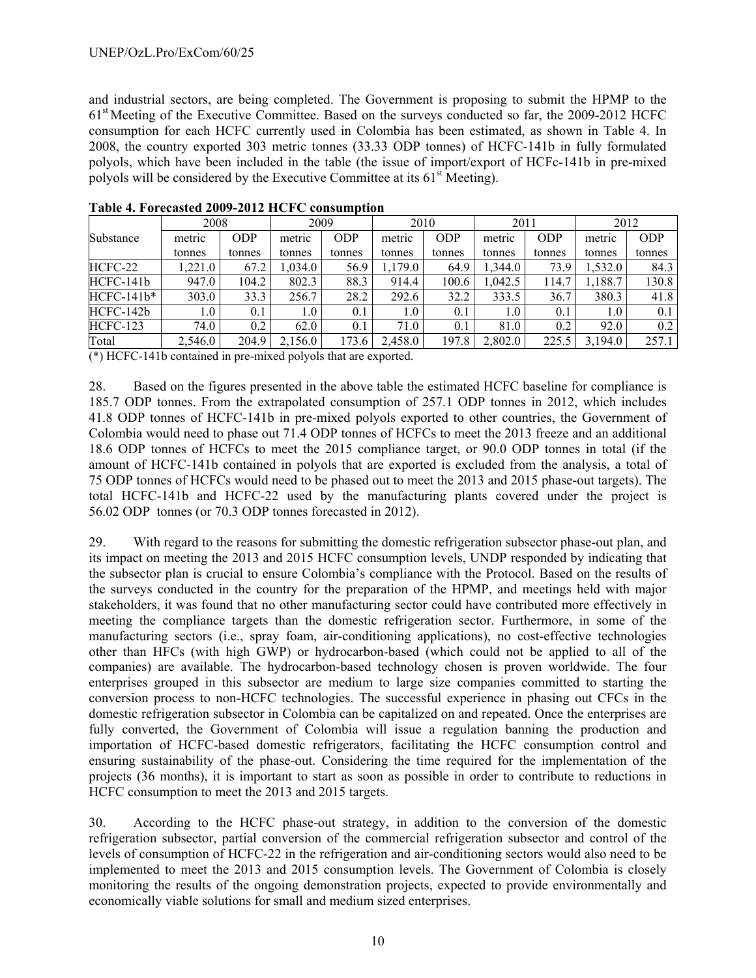and industrial sectors, are being completed. The Government is proposing to submit the HPMP to the 61st Meeting of the Executive Committee. Based on the surveys conducted so far, the 2009-2012 HCFC consumption for each HCFC currently used in Colombia has been estimated, as shown in Table 4. In 2008, the country exported 303 metric tonnes (33.33 ODP tonnes) of HCFC-141b in fully formulated polyols, which have been included in the table (the issue of import/export of HCFc-141b in pre-mixed polyols will be considered by the Executive Committee at its  $61<sup>st</sup>$  Meeting).

|                 | 2008    |        | 2009    |            | 2010             |            | 2011    |            | 2012    |            |
|-----------------|---------|--------|---------|------------|------------------|------------|---------|------------|---------|------------|
| Substance       | metric  | ODP    | metric  | <b>ODP</b> | metric           | <b>ODP</b> | metric  | <b>ODP</b> | metric  | <b>ODP</b> |
|                 | tonnes  | tonnes | tonnes  | tonnes     | tonnes           | tonnes     | tonnes  | tonnes     | tonnes  | tonnes     |
| HCFC-22         | 1,221.0 | 67.2   | 1.034.0 | 56.9       | 1,179.0          | 64.9       | 1.344.0 | 73.9       | 1,532.0 | 84.3       |
| HCFC-141b       | 947.0   | 104.2  | 802.3   | 88.3       | 914.4            | 100.6      | 042.5   | 114.7      | ,188.7  | 130.8      |
| $HCFC-141b*$    | 303.0   | 33.3   | 256.7   | 28.2       | 292.6            | 32.2       | 333.5   | 36.7       | 380.3   | 41.8       |
| HCFC-142b       | 1.0     | 0.1    | 1.0     | 0.1        | 1.0 <sup>1</sup> | 0.1        | 1.0     | 0.1        | 1.0     | 0.1        |
| <b>HCFC-123</b> | 74.0    | 0.2    | 62.0    | 0.1        | 71.0             | 0.1        | 81.0    | 0.2        | 92.0    | 0.2        |
| Total           | 2,546.0 | 204.9  | 2,156.0 | 173.6      | 2,458.0          | 197.8      | 2,802.0 | 225.5      | 3.194.0 | 257.1      |

**Table 4. Forecasted 2009-2012 HCFC consumption** 

(\*) HCFC-141b contained in pre-mixed polyols that are exported.

28. Based on the figures presented in the above table the estimated HCFC baseline for compliance is 185.7 ODP tonnes. From the extrapolated consumption of 257.1 ODP tonnes in 2012, which includes 41.8 ODP tonnes of HCFC-141b in pre-mixed polyols exported to other countries, the Government of Colombia would need to phase out 71.4 ODP tonnes of HCFCs to meet the 2013 freeze and an additional 18.6 ODP tonnes of HCFCs to meet the 2015 compliance target, or 90.0 ODP tonnes in total (if the amount of HCFC-141b contained in polyols that are exported is excluded from the analysis, a total of 75 ODP tonnes of HCFCs would need to be phased out to meet the 2013 and 2015 phase-out targets). The total HCFC-141b and HCFC-22 used by the manufacturing plants covered under the project is 56.02 ODP tonnes (or 70.3 ODP tonnes forecasted in 2012).

29. With regard to the reasons for submitting the domestic refrigeration subsector phase-out plan, and its impact on meeting the 2013 and 2015 HCFC consumption levels, UNDP responded by indicating that the subsector plan is crucial to ensure Colombia's compliance with the Protocol. Based on the results of the surveys conducted in the country for the preparation of the HPMP, and meetings held with major stakeholders, it was found that no other manufacturing sector could have contributed more effectively in meeting the compliance targets than the domestic refrigeration sector. Furthermore, in some of the manufacturing sectors (i.e., spray foam, air-conditioning applications), no cost-effective technologies other than HFCs (with high GWP) or hydrocarbon-based (which could not be applied to all of the companies) are available. The hydrocarbon-based technology chosen is proven worldwide. The four enterprises grouped in this subsector are medium to large size companies committed to starting the conversion process to non-HCFC technologies. The successful experience in phasing out CFCs in the domestic refrigeration subsector in Colombia can be capitalized on and repeated. Once the enterprises are fully converted, the Government of Colombia will issue a regulation banning the production and importation of HCFC-based domestic refrigerators, facilitating the HCFC consumption control and ensuring sustainability of the phase-out. Considering the time required for the implementation of the projects (36 months), it is important to start as soon as possible in order to contribute to reductions in HCFC consumption to meet the 2013 and 2015 targets.

30. According to the HCFC phase-out strategy, in addition to the conversion of the domestic refrigeration subsector, partial conversion of the commercial refrigeration subsector and control of the levels of consumption of HCFC-22 in the refrigeration and air-conditioning sectors would also need to be implemented to meet the 2013 and 2015 consumption levels. The Government of Colombia is closely monitoring the results of the ongoing demonstration projects, expected to provide environmentally and economically viable solutions for small and medium sized enterprises.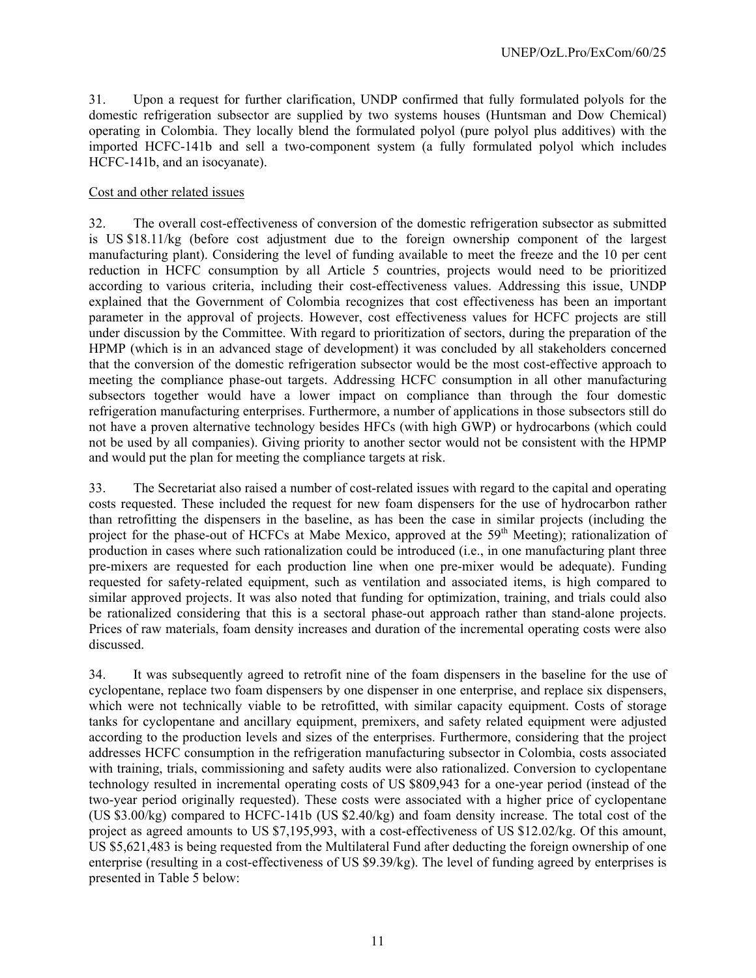31. Upon a request for further clarification, UNDP confirmed that fully formulated polyols for the domestic refrigeration subsector are supplied by two systems houses (Huntsman and Dow Chemical) operating in Colombia. They locally blend the formulated polyol (pure polyol plus additives) with the imported HCFC-141b and sell a two-component system (a fully formulated polyol which includes HCFC-141b, and an isocyanate).

### Cost and other related issues

32. The overall cost-effectiveness of conversion of the domestic refrigeration subsector as submitted is US \$18.11/kg (before cost adjustment due to the foreign ownership component of the largest manufacturing plant). Considering the level of funding available to meet the freeze and the 10 per cent reduction in HCFC consumption by all Article 5 countries, projects would need to be prioritized according to various criteria, including their cost-effectiveness values. Addressing this issue, UNDP explained that the Government of Colombia recognizes that cost effectiveness has been an important parameter in the approval of projects. However, cost effectiveness values for HCFC projects are still under discussion by the Committee. With regard to prioritization of sectors, during the preparation of the HPMP (which is in an advanced stage of development) it was concluded by all stakeholders concerned that the conversion of the domestic refrigeration subsector would be the most cost-effective approach to meeting the compliance phase-out targets. Addressing HCFC consumption in all other manufacturing subsectors together would have a lower impact on compliance than through the four domestic refrigeration manufacturing enterprises. Furthermore, a number of applications in those subsectors still do not have a proven alternative technology besides HFCs (with high GWP) or hydrocarbons (which could not be used by all companies). Giving priority to another sector would not be consistent with the HPMP and would put the plan for meeting the compliance targets at risk.

33. The Secretariat also raised a number of cost-related issues with regard to the capital and operating costs requested. These included the request for new foam dispensers for the use of hydrocarbon rather than retrofitting the dispensers in the baseline, as has been the case in similar projects (including the project for the phase-out of HCFCs at Mabe Mexico, approved at the 59<sup>th</sup> Meeting); rationalization of production in cases where such rationalization could be introduced (i.e., in one manufacturing plant three pre-mixers are requested for each production line when one pre-mixer would be adequate). Funding requested for safety-related equipment, such as ventilation and associated items, is high compared to similar approved projects. It was also noted that funding for optimization, training, and trials could also be rationalized considering that this is a sectoral phase-out approach rather than stand-alone projects. Prices of raw materials, foam density increases and duration of the incremental operating costs were also discussed.

34. It was subsequently agreed to retrofit nine of the foam dispensers in the baseline for the use of cyclopentane, replace two foam dispensers by one dispenser in one enterprise, and replace six dispensers, which were not technically viable to be retrofitted, with similar capacity equipment. Costs of storage tanks for cyclopentane and ancillary equipment, premixers, and safety related equipment were adjusted according to the production levels and sizes of the enterprises. Furthermore, considering that the project addresses HCFC consumption in the refrigeration manufacturing subsector in Colombia, costs associated with training, trials, commissioning and safety audits were also rationalized. Conversion to cyclopentane technology resulted in incremental operating costs of US \$809,943 for a one-year period (instead of the two-year period originally requested). These costs were associated with a higher price of cyclopentane (US \$3.00/kg) compared to HCFC-141b (US \$2.40/kg) and foam density increase. The total cost of the project as agreed amounts to US \$7,195,993, with a cost-effectiveness of US \$12.02/kg. Of this amount, US \$5,621,483 is being requested from the Multilateral Fund after deducting the foreign ownership of one enterprise (resulting in a cost-effectiveness of US \$9.39/kg). The level of funding agreed by enterprises is presented in Table 5 below: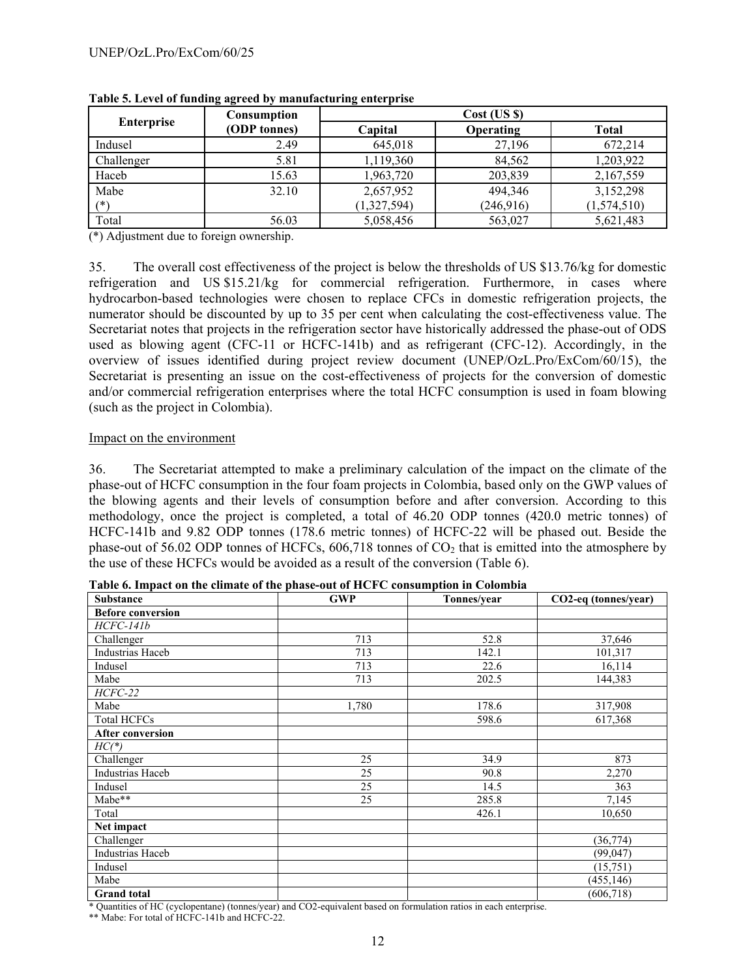|                   | Consumption  | $Cost$ (US $\})$ |                  |              |  |  |
|-------------------|--------------|------------------|------------------|--------------|--|--|
| <b>Enterprise</b> | (ODP tonnes) | Capital          | <b>Operating</b> | <b>Total</b> |  |  |
| Indusel           | 2.49         | 645,018          | 27,196           | 672,214      |  |  |
| Challenger        | 5.81         | 1,119,360        | 84,562           | 1,203,922    |  |  |
| Haceb             | 15.63        | 1,963,720        | 203,839          | 2,167,559    |  |  |
| Mabe              | 32.10        | 2,657,952        | 494,346          | 3,152,298    |  |  |
| $(*)$             |              | (1,327,594)      | (246, 916)       | (1,574,510)  |  |  |
| Total             | 56.03        | 5,058,456        | 563,027          | 5,621,483    |  |  |

**Table 5. Level of funding agreed by manufacturing enterprise** 

(\*) Adjustment due to foreign ownership.

35. The overall cost effectiveness of the project is below the thresholds of US \$13.76/kg for domestic refrigeration and US \$15.21/kg for commercial refrigeration. Furthermore, in cases where hydrocarbon-based technologies were chosen to replace CFCs in domestic refrigeration projects, the numerator should be discounted by up to 35 per cent when calculating the cost-effectiveness value. The Secretariat notes that projects in the refrigeration sector have historically addressed the phase-out of ODS used as blowing agent (CFC-11 or HCFC-141b) and as refrigerant (CFC-12). Accordingly, in the overview of issues identified during project review document (UNEP/OzL.Pro/ExCom/60/15), the Secretariat is presenting an issue on the cost-effectiveness of projects for the conversion of domestic and/or commercial refrigeration enterprises where the total HCFC consumption is used in foam blowing (such as the project in Colombia).

### Impact on the environment

36. The Secretariat attempted to make a preliminary calculation of the impact on the climate of the phase-out of HCFC consumption in the four foam projects in Colombia, based only on the GWP values of the blowing agents and their levels of consumption before and after conversion. According to this methodology, once the project is completed, a total of 46.20 ODP tonnes (420.0 metric tonnes) of HCFC-141b and 9.82 ODP tonnes (178.6 metric tonnes) of HCFC-22 will be phased out. Beside the phase-out of 56.02 ODP tonnes of HCFCs,  $606,718$  tonnes of  $CO<sub>2</sub>$  that is emitted into the atmosphere by the use of these HCFCs would be avoided as a result of the conversion (Table 6).

| <b>Substance</b>         | <b>GWP</b> | Tonnes/year | CO2-eq (tonnes/year) |
|--------------------------|------------|-------------|----------------------|
| <b>Before conversion</b> |            |             |                      |
| HCFC-141b                |            |             |                      |
| Challenger               | 713        | 52.8        | 37,646               |
| Industrias Haceb         | 713        | 142.1       | 101,317              |
| Indusel                  | 713        | 22.6        | 16,114               |
| Mabe                     | 713        | 202.5       | 144,383              |
| $HCFC-22$                |            |             |                      |
| Mabe                     | 1,780      | 178.6       | 317,908              |
| <b>Total HCFCs</b>       |            | 598.6       | 617,368              |
| <b>After conversion</b>  |            |             |                      |
| $HC(*)$                  |            |             |                      |
| Challenger               | 25         | 34.9        | 873                  |
| <b>Industrias Haceb</b>  | 25         | 90.8        | 2,270                |
| Indusel                  | 25         | 14.5        | 363                  |
| Mabe**                   | 25         | 285.8       | 7,145                |
| Total                    |            | 426.1       | 10,650               |
| Net impact               |            |             |                      |
| Challenger               |            |             | (36, 774)            |
| <b>Industrias Haceb</b>  |            |             | (99, 047)            |
| Indusel                  |            |             | (15,751)             |
| Mabe                     |            |             | (455, 146)           |
| <b>Grand</b> total       |            |             | (606, 718)           |

**Table 6. Impact on the climate of the phase-out of HCFC consumption in Colombia** 

\* Quantities of HC (cyclopentane) (tonnes/year) and CO2-equivalent based on formulation ratios in each enterprise.

\*\* Mabe: For total of HCFC-141b and HCFC-22.